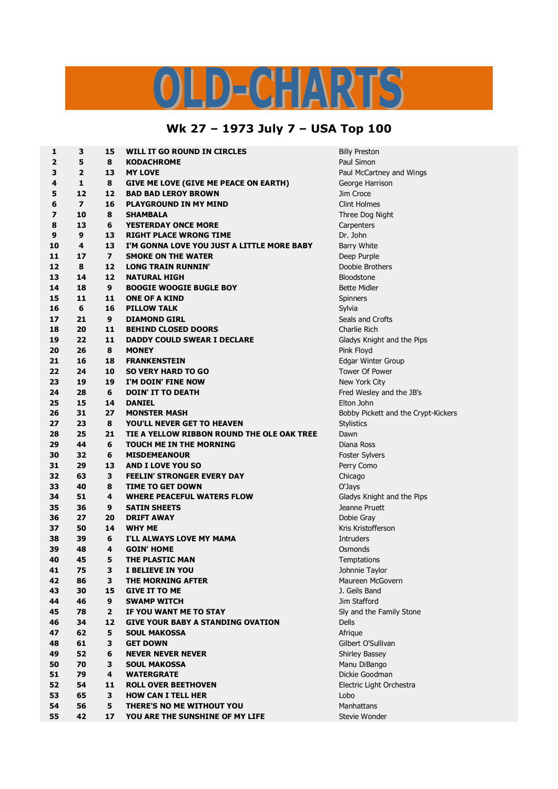## ILD-CHARTS

## **Wk 27 – 1973 July 7 – USA Top 100**

| 1  | 3                       | 15             | <b>WILL IT GO ROUND IN CIRCLES</b>           | <b>Billy Preston</b>                |
|----|-------------------------|----------------|----------------------------------------------|-------------------------------------|
| 2  | 5                       | 8              | <b>KODACHROME</b>                            | Paul Simon                          |
| 3  | $\overline{2}$          | 13             | <b>MY LOVE</b>                               | Paul McCartney and Wings            |
| 4  | 1                       | 8              | <b>GIVE ME LOVE (GIVE ME PEACE ON EARTH)</b> | George Harrison                     |
| 5  | 12                      | 12             | <b>BAD BAD LEROY BROWN</b>                   | Jim Croce                           |
| 6  | $\overline{\mathbf{z}}$ | 16             | <b>PLAYGROUND IN MY MIND</b>                 | <b>Clint Holmes</b>                 |
| 7  | 10                      | 8              | <b>SHAMBALA</b>                              | Three Dog Night                     |
| 8  | 13                      | 6              | <b>YESTERDAY ONCE MORE</b>                   | Carpenters                          |
| 9  | 9                       | 13             | <b>RIGHT PLACE WRONG TIME</b>                | Dr. John                            |
| 10 | 4                       | 13             | I'M GONNA LOVE YOU JUST A LITTLE MORE BABY   | Barry White                         |
| 11 | 17                      | $\overline{ }$ | <b>SMOKE ON THE WATER</b>                    | Deep Purple                         |
| 12 | 8                       | 12             | <b>LONG TRAIN RUNNIN'</b>                    | Doobie Brothers                     |
| 13 | 14                      | 12             | <b>NATURAL HIGH</b>                          | <b>Bloodstone</b>                   |
| 14 | 18                      | 9              | <b>BOOGIE WOOGIE BUGLE BOY</b>               | <b>Bette Midler</b>                 |
| 15 | 11                      | 11             | <b>ONE OF A KIND</b>                         | Spinners                            |
| 16 | 6                       | 16             | <b>PILLOW TALK</b>                           | Sylvia                              |
| 17 | 21                      | 9              | <b>DIAMOND GIRL</b>                          | Seals and Crofts                    |
| 18 | 20                      | 11             | <b>BEHIND CLOSED DOORS</b>                   | Charlie Rich                        |
| 19 | 22                      | 11             | <b>DADDY COULD SWEAR I DECLARE</b>           | Gladys Knight and the Pips          |
| 20 | 26                      | 8              | <b>MONEY</b>                                 | Pink Floyd                          |
| 21 | 16                      | 18             | <b>FRANKENSTEIN</b>                          | Edgar Winter Group                  |
| 22 | 24                      | 10             | <b>SO VERY HARD TO GO</b>                    | <b>Tower Of Power</b>               |
| 23 | 19                      | 19             | I'M DOIN' FINE NOW                           | New York City                       |
| 24 | 28                      | 6              | <b>DOIN' IT TO DEATH</b>                     | Fred Wesley and the JB's            |
| 25 | 15                      | 14             | <b>DANIEL</b>                                | Elton John                          |
| 26 | 31                      | 27             | <b>MONSTER MASH</b>                          | Bobby Pickett and the Crypt-Kickers |
| 27 | 23                      | 8              | YOU'LL NEVER GET TO HEAVEN                   |                                     |
| 28 | 25                      | 21             | TIE A YELLOW RIBBON ROUND THE OLE OAK TREE   | Stylistics<br>Dawn                  |
| 29 | 44                      | 6              |                                              |                                     |
|    |                         | 6              | <b>TOUCH ME IN THE MORNING</b>               | Diana Ross                          |
| 30 | 32                      |                | <b>MISDEMEANOUR</b>                          | <b>Foster Sylvers</b>               |
| 31 | 29                      | 13             | <b>AND I LOVE YOU SO</b>                     | Perry Como                          |
| 32 | 63                      | 3              | <b>FEELIN' STRONGER EVERY DAY</b>            | Chicago                             |
| 33 | 40                      | 8              | <b>TIME TO GET DOWN</b>                      | O'Jays                              |
| 34 | 51                      | 4              | <b>WHERE PEACEFUL WATERS FLOW</b>            | Gladys Knight and the Pips          |
| 35 | 36                      | 9              | <b>SATIN SHEETS</b>                          | Jeanne Pruett                       |
| 36 | 27                      | 20             | <b>DRIFT AWAY</b>                            | Dobie Gray                          |
| 37 | 50                      | 14             | <b>WHY ME</b>                                | Kris Kristofferson                  |
| 38 | 39                      | 6              | I'LL ALWAYS LOVE MY MAMA                     | <b>Intruders</b>                    |
| 39 | 48                      | 4              | <b>GOIN' HOME</b>                            | Osmonds                             |
| 40 | 45                      | 5              | <b>THE PLASTIC MAN</b>                       | Temptations                         |
| 41 | 75                      | 3              | I BELIEVE IN YOU                             | Johnnie Taylor                      |
| 42 | 86                      | 3              | THE MORNING AFTER                            | Maureen McGovern                    |
| 43 | 30                      | 15             | <b>GIVE IT TO ME</b>                         | J. Geils Band                       |
| 44 | 46                      | 9              | <b>SWAMP WITCH</b>                           | Jim Stafford                        |
| 45 | 78                      | $\overline{2}$ | IF YOU WANT ME TO STAY                       | Sly and the Family Stone            |
| 46 | 34                      | 12             | <b>GIVE YOUR BABY A STANDING OVATION</b>     | <b>Dells</b>                        |
| 47 | 62                      | 5              | <b>SOUL MAKOSSA</b>                          | Afrique                             |
| 48 | 61                      | 3              | <b>GET DOWN</b>                              | Gilbert O'Sullivan                  |
| 49 | 52                      | 6              | <b>NEVER NEVER NEVER</b>                     | <b>Shirley Bassey</b>               |
| 50 | 70                      | 3              | <b>SOUL MAKOSSA</b>                          | Manu DiBango                        |
| 51 | 79                      | 4              | <b>WATERGRATE</b>                            | Dickie Goodman                      |
| 52 | 54                      | 11             | <b>ROLL OVER BEETHOVEN</b>                   | Electric Light Orchestra            |
| 53 | 65                      | 3              | <b>HOW CAN I TELL HER</b>                    | Lobo                                |
| 54 | 56                      | 5              | THERE'S NO ME WITHOUT YOU                    | Manhattans                          |
| 55 | 42                      | 17             | YOU ARE THE SUNSHINE OF MY LIFE              | Stevie Wonder                       |